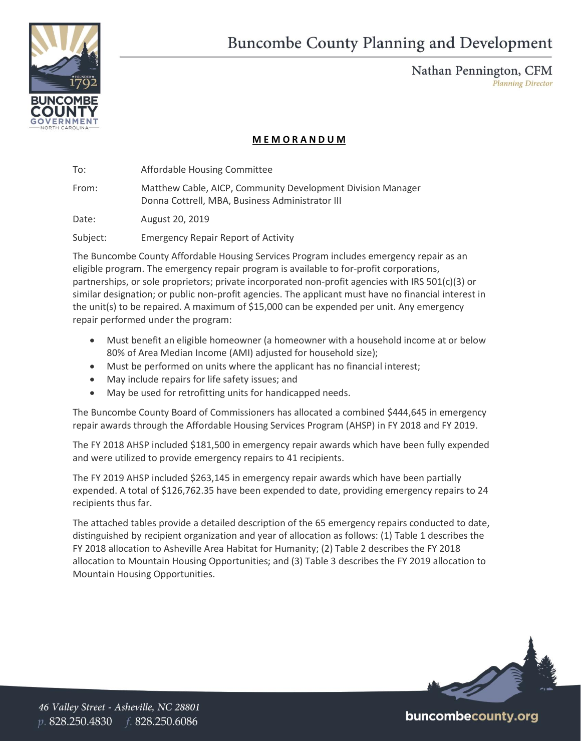



Nathan Pennington, CFM **Planning Director** 

## **M E M O R A N D U M**

To: Affordable Housing Committee

From: Matthew Cable, AICP, Community Development Division Manager Donna Cottrell, MBA, Business Administrator III

Date: August 20, 2019

Subject: Emergency Repair Report of Activity

The Buncombe County Affordable Housing Services Program includes emergency repair as an eligible program. The emergency repair program is available to for-profit corporations, partnerships, or sole proprietors; private incorporated non-profit agencies with IRS 501(c)(3) or similar designation; or public non-profit agencies. The applicant must have no financial interest in the unit(s) to be repaired. A maximum of \$15,000 can be expended per unit. Any emergency repair performed under the program:

- Must benefit an eligible homeowner (a homeowner with a household income at or below 80% of Area Median Income (AMI) adjusted for household size);
- Must be performed on units where the applicant has no financial interest;
- May include repairs for life safety issues; and
- May be used for retrofitting units for handicapped needs.

The Buncombe County Board of Commissioners has allocated a combined \$444,645 in emergency repair awards through the Affordable Housing Services Program (AHSP) in FY 2018 and FY 2019.

The FY 2018 AHSP included \$181,500 in emergency repair awards which have been fully expended and were utilized to provide emergency repairs to 41 recipients.

The FY 2019 AHSP included \$263,145 in emergency repair awards which have been partially expended. A total of \$126,762.35 have been expended to date, providing emergency repairs to 24 recipients thus far.

The attached tables provide a detailed description of the 65 emergency repairs conducted to date, distinguished by recipient organization and year of allocation as follows: (1) Table 1 describes the FY 2018 allocation to Asheville Area Habitat for Humanity; (2) Table 2 describes the FY 2018 allocation to Mountain Housing Opportunities; and (3) Table 3 describes the FY 2019 allocation to Mountain Housing Opportunities.



buncombecounty.org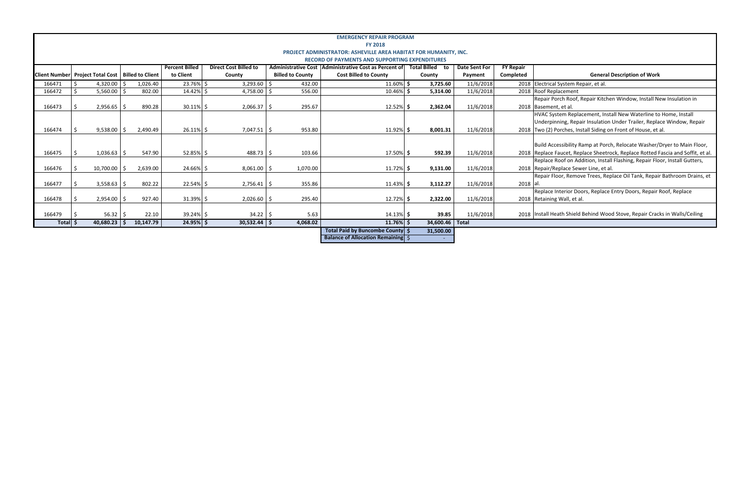## **Completed General Description of Work**

Porch Roof, Repair Kitchen Window, Install New Insulation in ent, et al.

ystem Replacement, Install New Waterline to Home, Install inning, Repair Insulation Under Trailer, Replace Window, Repair Porches, Install Siding on Front of House, et al.

ccessibility Ramp at Porch, Relocate Washer/Dryer to Main Floor, Paucet, Replace Sheetrock, Replace Rotted Fascia and Soffit, et al. P. Roof on Addition, Install Flashing, Repair Floor, Install Gutters, Replace Sewer Line, et al.

Floor, Remove Trees, Replace Oil Tank, Repair Bathroom Drains, et

**Replace Interior Doors, Replace Entry Doors, Repair Roof, Replace** ng Wall, et al.

**B 3.22.10 3.22.10 3.22.10 35.000 Stove, Repair Cracks in Walls/Ceiling 3.32.32.32.32.2018 12018 1000 Store Sto** 

|                                  |                                                                  |                 |  |                         |                       |                              |            |                         | <b>EMERGENCY REPAIR PROGRAM</b><br><b>FY 2018</b>                                                                                                                                      |  |                   |           |           |                                      |
|----------------------------------|------------------------------------------------------------------|-----------------|--|-------------------------|-----------------------|------------------------------|------------|-------------------------|----------------------------------------------------------------------------------------------------------------------------------------------------------------------------------------|--|-------------------|-----------|-----------|--------------------------------------|
|                                  | PROJECT ADMINISTRATOR: ASHEVILLE AREA HABITAT FOR HUMANITY, INC. |                 |  |                         |                       |                              |            |                         |                                                                                                                                                                                        |  |                   |           |           |                                      |
|                                  |                                                                  |                 |  |                         |                       |                              |            |                         |                                                                                                                                                                                        |  |                   |           |           |                                      |
|                                  |                                                                  |                 |  |                         | <b>Percent Billed</b> | <b>Direct Cost Billed to</b> |            |                         | <b>RECORD OF PAYMENTS AND SUPPORTING EXPENDITURES</b><br>Administrative Cost   Administrative Cost as Percent of<br><b>Total Billed</b> to<br><b>Date Sent For</b><br><b>FY Repair</b> |  |                   |           |           |                                      |
| Client Number Project Total Cost |                                                                  |                 |  | <b>Billed to Client</b> | to Client             | County                       |            | <b>Billed to County</b> | <b>Cost Billed to County</b>                                                                                                                                                           |  | County            | Payment   | Completed | Gener                                |
| 166471                           |                                                                  | 4,320.00        |  | 1,026.40                | 23.76%                | $3,293.60$ \$<br>-S          |            | 432.00                  | $11.60\%$ \$                                                                                                                                                                           |  | 3,725.60          | 11/6/2018 |           | 2018 Electrical System Repair, et al |
| 166472                           |                                                                  | $5,560.00$ \$   |  | 802.00                  | 14.42%                | $4,758.00$ \$<br>Ŝ.          |            | 556.00                  | 10.46%                                                                                                                                                                                 |  | 5,314.00          | 11/6/2018 |           | 2018 Roof Replacement                |
|                                  |                                                                  |                 |  |                         |                       |                              |            |                         |                                                                                                                                                                                        |  |                   |           |           | Repair Porch Roof, Repair Kito       |
| 166473                           |                                                                  |                 |  | 890.28                  |                       |                              |            | 295.67                  |                                                                                                                                                                                        |  |                   | 11/6/2018 |           | 2018 Basement, et al.                |
|                                  |                                                                  | $2,956.65$   \$ |  |                         | $30.11\%$ \$          | $2,066.37$ \$                |            |                         | $12.52\%$ \$                                                                                                                                                                           |  | 2,362.04          |           |           |                                      |
|                                  |                                                                  |                 |  |                         |                       |                              |            |                         |                                                                                                                                                                                        |  |                   |           |           | HVAC System Replacement, Ir          |
|                                  |                                                                  |                 |  |                         |                       |                              |            |                         |                                                                                                                                                                                        |  |                   |           |           | Underpinning, Repair Insulatio       |
| 166474                           |                                                                  | $9,538.00$ \$   |  | 2,490.49                | $26.11\%$ \$          | $7,047.51$ \$                |            | 953.80                  | $11.92\%$ \$                                                                                                                                                                           |  | 8,001.31          | 11/6/2018 |           | 2018 Two (2) Porches, Install Siding |
|                                  |                                                                  |                 |  |                         |                       |                              |            |                         |                                                                                                                                                                                        |  |                   |           |           |                                      |
|                                  |                                                                  |                 |  |                         |                       |                              |            |                         |                                                                                                                                                                                        |  |                   |           |           | Build Accessibility Ramp at Po       |
| 166475                           |                                                                  | $1,036.63$ \$   |  | 547.90                  | $52.85\%$ \$          | $488.73$ \$                  |            | 103.66                  | 17.50% \$                                                                                                                                                                              |  | 592.39            | 11/6/2018 |           | 2018 Replace Faucet, Replace Shee    |
|                                  |                                                                  |                 |  |                         |                       |                              |            |                         |                                                                                                                                                                                        |  |                   |           |           | Replace Roof on Addition, Inst       |
| 166476                           |                                                                  | $10,700.00$ \$  |  | 2,639.00                | 24.66% \$             | $8,061.00$ \$                |            | 1,070.00                | $11.72\%$ \$                                                                                                                                                                           |  | 9,131.00          | 11/6/2018 |           | 2018 Repair/Replace Sewer Line, et   |
|                                  |                                                                  |                 |  |                         |                       |                              |            |                         |                                                                                                                                                                                        |  |                   |           |           | Repair Floor, Remove Trees, R        |
| 166477                           |                                                                  | $3,558.63$ \$   |  | 802.22                  | 22.54% \$             | $2,756.41$ \$                |            | 355.86                  | $11.43\%$ \$                                                                                                                                                                           |  | 3,112.27          | 11/6/2018 | 2018 al   |                                      |
|                                  |                                                                  |                 |  |                         |                       |                              |            |                         |                                                                                                                                                                                        |  |                   |           |           | Replace Interior Doors, Repla        |
| 166478                           |                                                                  | $2,954.00$ \$   |  | 927.40                  | $31.39\%$ \$          | $2,026.60$   \$              |            | 295.40                  | 12.72% \$                                                                                                                                                                              |  | 2,322.00          | 11/6/2018 |           | 2018 Retaining Wall, et al.          |
|                                  |                                                                  |                 |  |                         |                       |                              |            |                         |                                                                                                                                                                                        |  |                   |           |           |                                      |
| 166479                           |                                                                  | $56.32$ \$      |  | 22.10                   | 39.24% \$             |                              | $34.22$ \$ | 5.63                    | $14.13\%$ \$                                                                                                                                                                           |  | 39.85             | 11/6/2018 |           | 2018 Install Heath Shield Behind W   |
| Total \$                         |                                                                  | $40,680.23$ \$  |  | 10,147.79               | 24.95% \$             | $30,532.44$ \$               |            | 4,068.02                | $11.76\%$ \$                                                                                                                                                                           |  | 34,600.46   Total |           |           |                                      |
|                                  |                                                                  |                 |  |                         |                       |                              |            |                         | Total Paid by Buncombe County \$                                                                                                                                                       |  | 31,500.00         |           |           |                                      |

**Balance of Allocation Remaining** \$ ‐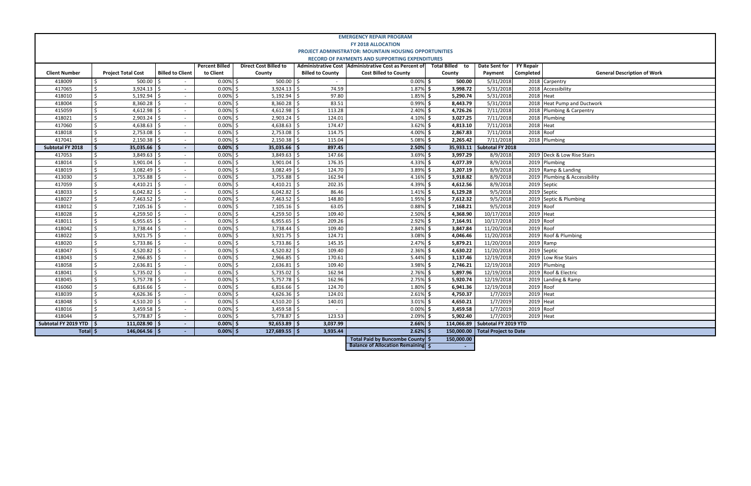| <b>FY Repair</b> |                                    |  |  |  |  |  |  |  |
|------------------|------------------------------------|--|--|--|--|--|--|--|
| Completed        | <b>General Description of Work</b> |  |  |  |  |  |  |  |
|                  | 2018 Carpentry                     |  |  |  |  |  |  |  |
|                  | 2018 Accessibility                 |  |  |  |  |  |  |  |
| 2018 Heat        |                                    |  |  |  |  |  |  |  |
|                  | 2018 Heat Pump and Ductwork        |  |  |  |  |  |  |  |
|                  | 2018 Plumbing & Carpentry          |  |  |  |  |  |  |  |
|                  | 2018 Plumbing                      |  |  |  |  |  |  |  |
| 2018 Heat        |                                    |  |  |  |  |  |  |  |
| 2018 Roof        |                                    |  |  |  |  |  |  |  |
| 2018             | Plumbing                           |  |  |  |  |  |  |  |
|                  |                                    |  |  |  |  |  |  |  |
|                  | 2019 Deck & Low Rise Stairs        |  |  |  |  |  |  |  |
|                  | 2019 Plumbing                      |  |  |  |  |  |  |  |
|                  | 2019 Ramp & Landing                |  |  |  |  |  |  |  |
|                  | 2019 Plumbing & Accessibility      |  |  |  |  |  |  |  |
|                  | 2019 Septic                        |  |  |  |  |  |  |  |
|                  | 2019 Septic                        |  |  |  |  |  |  |  |
|                  | 2019 Septic & Plumbing             |  |  |  |  |  |  |  |
| $2019$ Roof      |                                    |  |  |  |  |  |  |  |
| 2019 Heat        |                                    |  |  |  |  |  |  |  |
| 2019 Roof        |                                    |  |  |  |  |  |  |  |
| 2019 Roof        |                                    |  |  |  |  |  |  |  |
|                  | 2019 Roof & Plumbing               |  |  |  |  |  |  |  |
|                  | 2019 Ramp                          |  |  |  |  |  |  |  |
|                  | 2019 Septic                        |  |  |  |  |  |  |  |
|                  | 2019 Low Rise Stairs               |  |  |  |  |  |  |  |
|                  | 2019 Plumbing                      |  |  |  |  |  |  |  |
|                  | 2019 Roof & Electric               |  |  |  |  |  |  |  |
|                  | 2019 Landing & Ramp                |  |  |  |  |  |  |  |
| 2019 Roof        |                                    |  |  |  |  |  |  |  |
| 2019             | Heat                               |  |  |  |  |  |  |  |
| 2019             | Heat                               |  |  |  |  |  |  |  |
| 2019             | Roof                               |  |  |  |  |  |  |  |
| 2019             | Heat                               |  |  |  |  |  |  |  |
| YTD              |                                    |  |  |  |  |  |  |  |
| Date             |                                    |  |  |  |  |  |  |  |

|                         |                               |                           |                                    |                       |                              |                         | <b>EMERGENCY REPAIR PROGRAM</b>                                                                                |                  |                                   |                               |                               |
|-------------------------|-------------------------------|---------------------------|------------------------------------|-----------------------|------------------------------|-------------------------|----------------------------------------------------------------------------------------------------------------|------------------|-----------------------------------|-------------------------------|-------------------------------|
|                         |                               |                           |                                    |                       |                              |                         | <b>FY 2018 ALLOCATION</b>                                                                                      |                  |                                   |                               |                               |
|                         |                               |                           |                                    |                       |                              |                         | PROJECT ADMINISTRATOR: MOUNTAIN HOUSING OPPORTUNITIES<br><b>RECORD OF PAYMENTS AND SUPPORTING EXPENDITURES</b> |                  |                                   |                               |                               |
|                         |                               |                           |                                    | <b>Percent Billed</b> | <b>Direct Cost Billed to</b> |                         | Administrative Cost   Administrative Cost as Percent of                                                        | Total Billed to  | Date Sent for                     |                               |                               |
| <b>Client Number</b>    |                               | <b>Project Total Cost</b> | <b>Billed to Client</b>            | to Client             | County                       | <b>Billed to County</b> | <b>Cost Billed to County</b>                                                                                   | County           | Payment                           | <b>FY Repair</b><br>Completed | Ge                            |
|                         |                               |                           |                                    | $0.00\%$ \$           |                              |                         |                                                                                                                |                  |                                   |                               |                               |
| 418009                  | \$                            | 500.00                    | Ŝ.                                 |                       | $500.00$ \$                  |                         | $0.00\%$ \$                                                                                                    | 500.00           | 5/31/2018                         |                               | 2018 Carpentry                |
| 417065                  | \$                            | 3,924.13                  | Ŝ.<br>$\sim$                       | 0.00%                 | 3,924.13                     | 74.59<br>l \$           | 1.87%                                                                                                          | Ŝ.<br>3,998.72   | 5/31/2018                         | 2018                          | Accessibility                 |
| 418010                  | \$                            | 5,192.94                  | Ś<br>$\blacksquare$                | 0.00%                 | 5.192.94                     | 97.80<br>l \$           | 1.85%                                                                                                          | Ŝ<br>5,290.74    | 5/31/2018                         | 2018                          | <b>Heat</b>                   |
| 418004                  | \$                            | $8,360.28$ \$             | $\sim$                             | 0.00%                 | 8,360.28                     | 83.51<br>l \$           | 0.99%                                                                                                          | Ŝ.<br>8,443.79   | 5/31/2018                         | 2018                          | <b>Heat Pump and Ductwork</b> |
| 415059                  | $\overline{\mathsf{S}}$       | 4,612.98                  | Š.<br>$\sim$                       | 0.00%                 | 4,612.98                     | 113.28                  | 2.40%                                                                                                          | 4,726.26<br>Ŝ    | 7/11/2018                         |                               | 2018 Plumbing & Carpentry     |
| 418021                  | Ś.                            | $2,903.24$ \$             | $\sim$                             | 0.00%                 | 2.903.24                     | 124.01                  | 4.10%                                                                                                          | 3,027.25<br>Ŝ.   | 7/11/2018                         | 2018                          | Plumbing                      |
| 417060                  | \$                            | $4,638.63$ \$             | $\sim$                             | 0.00%                 | 4,638.63                     | l \$<br>174.47          | 3.62%                                                                                                          | Ś<br>4,813.10    | 7/11/2018                         | 2018 Heat                     |                               |
| 418018                  | \$                            | 2,753.08                  | Ŝ.<br>$\sim$                       | 0.00%                 | 2,753.08                     | 114.75<br>Ŝ.            | 4.00%                                                                                                          | Ŝ<br>2,867.83    | 7/11/2018                         | 2018 Roof                     |                               |
| 417041                  | \$                            | $2,150.38$ \$             | $\omega$                           | 0.00%                 | 2,150.38                     | 115.04<br>l \$          | 5.08%                                                                                                          | 2,265.42<br>Ŝ    | 7/11/2018                         |                               | 2018 Plumbing                 |
| <b>Subtotal FY 2018</b> | \$                            | $35,035.66$   \$          | $\blacksquare$                     | 0.00%                 | $35,035.66$   \$<br>.S       | 897.45                  | 2.50%                                                                                                          | Ŝ.               | 35.933.11   Subtotal FY 2018      |                               |                               |
| 417053                  | \$                            | $3,849.63$ \$             | $\sim$                             | 0.00%                 | 3,849.63                     | 147.66<br>l \$          | 3.69%                                                                                                          | Ŝ<br>3,997.29    | 8/9/2018                          |                               | 2019 Deck & Low Rise Stairs   |
| 418014                  | \$                            | $3,901.04$ \$             | $\sim$                             | 0.00%                 | 3,901.04                     | 176.35<br>۱Ś.           | 4.33%                                                                                                          | Ŝ.<br>4,077.39   | 8/9/2018                          |                               | 2019 Plumbing                 |
| 418019                  | \$                            | $3,082.49$ \$             | $\mathbf{r}$                       | 0.00%                 | 3,082.49                     | 124.70<br>۱Ś.           | 3.89%                                                                                                          | 3,207.19<br>Ŝ.   | 8/9/2018                          |                               | 2019 Ramp & Landing           |
| 413030                  | \$                            | 3,755.88                  | Ś.<br>$\sim$                       | 0.00%                 | 3,755.88                     | 162.94<br>-Ś            | 4.16%                                                                                                          | 3,918.82<br>Ŝ    | 8/9/2018                          | 2019                          | Plumbing & Accessibility      |
| 417059                  | \$                            | $4,410.21$ \$             | $\omega$                           | 0.00%                 | 4,410.21                     | 202.35<br>Ŝ.            | 4.39%                                                                                                          | 4,612.56<br>Š.   | 8/9/2018                          |                               | 2019 Septic                   |
| 418033                  | \$                            | 6,042.82                  | Š.<br>$\blacksquare$               | 0.00%                 | 6,042.82                     | 86.46<br>Ŝ.             | 1.41%                                                                                                          | 6,129.28<br>Ŝ    | 9/5/2018                          |                               | 2019 Septic                   |
| 418027                  | \$                            | $7,463.52$ \$             | $\sim$                             | 0.00%                 | 7,463.52<br>Ś                | 148.80<br>Ŝ.            | 1.95%                                                                                                          | Ŝ.<br>7,612.32   | 9/5/2018                          | 2019                          | Septic & Plumbing             |
| 418012                  | \$                            | 7,105.16                  | \$<br>$\sim$                       | 0.00%                 | 7,105.16<br>Ś                | 63.05<br>-Ś             | 0.88%                                                                                                          | Ŝ<br>7,168.21    | 9/5/2018                          | 2019                          | Roof                          |
| 418028                  | \$                            | 4,259.50                  | Ś.<br>$\sim$                       | 0.00%                 | 4,259.50                     | Ŝ.<br>109.40            | 2.50%                                                                                                          | Ś<br>4,368.90    | 10/17/2018                        | 2019                          | Heat                          |
| 418011                  | Ś.                            | $6.955.65$ \$             | $\sim$                             | 0.00%                 | 6.955.65                     | 209.26<br>l \$          | 2.92%                                                                                                          | Ŝ.<br>7,164.91   | 10/17/2018                        | 2019                          | Roof                          |
| 418042                  | \$                            | 3,738.44                  | Ś                                  | 0.00%                 | 3,738.44                     | 109.40<br>-Ś            | 2.84%                                                                                                          | 3,847.84<br>Ŝ.   | 11/20/2018                        | 2019                          | Roof                          |
| 418022                  | \$                            | $3,921.75$ \$             | $\sim$                             | 0.00%                 | 3,921.75                     | 124.71<br>l \$          | 3.08%                                                                                                          | 4,046.46<br>Ŝ    | 11/20/2018                        | 2019                          | Roof & Plumbing               |
| 418020                  | \$                            | 5.733.86                  | ς.<br>$\blacksquare$               | 0.00%                 | 5.733.86                     | 145.35<br><sup>5</sup>  | 2.47%                                                                                                          | 5.879.21<br>Ŝ.   | 11/20/2018                        | 2019                          | Ramp                          |
| 418047                  | \$                            | $4,520.82$ \$             | $\sim$                             | 0.00%                 | 4,520.82<br>S,               | 109.40                  | 2.36%                                                                                                          | Ŝ.<br>4,630.22   | 11/20/2018                        | 2019                          | Septic                        |
| 418043                  | Ś.                            | 2,966.85                  | $\sim$                             | 0.00%                 | 2,966.85<br>Ś                | 170.61<br>Ŝ.            | 5.44%                                                                                                          | Ŝ.<br>3,137.46   | 12/19/2018                        | 2019                          | Low Rise Stairs               |
| 418058                  | \$                            | 2,636.81                  | $\overline{\phantom{a}}$<br>$\sim$ | 0.00%                 | 2,636.81                     | 109.40<br>Ŝ.            | 3.98%                                                                                                          | 2,746.21<br>Ŝ.   | 12/19/2018                        |                               | 2019 Plumbing                 |
| 418041                  | \$                            | $5,735.02$ \$             | $\sim$                             | 0.00%                 | 5,735.02                     | 162.94<br>-Ś            | 2.76%                                                                                                          | 5,897.96<br>Ŝ.   | 12/19/2018                        |                               | 2019 Roof & Electric          |
| 418045                  | \$                            | 5,757.78                  | Ś                                  | 0.00%                 | 5,757.78                     | l \$<br>162.96          | 2.75%                                                                                                          | Ŝ<br>5,920.74    | 12/19/2018                        | 2019                          | Landing & Ramp                |
| 416060                  | \$                            | 6,816.66                  | Ŝ.<br>$\sim$                       | 0.00%                 | 6,816.66                     | 124.70<br>l \$          | 1.80%                                                                                                          | 6,941.36<br>Ŝ    | 12/19/2018                        | 2019 Roof                     |                               |
| 418039                  | $\overline{\mathsf{S}}$       | 4.626.36                  | ς.<br>$\blacksquare$               | 0.00%                 | 4.626.36                     | 124.01                  | 2.61%                                                                                                          | 4,750.37<br>Ŝ    | 1/7/2019                          | 2019                          | Heat                          |
| 418048                  | \$                            | 4,510.20                  | -Ś<br>$\sim$                       | 0.00%                 | 4,510.20                     | 140.01                  | 3.01%                                                                                                          | Ŝ.<br>4,650.21   | 1/7/2019                          | 2019                          | Heat                          |
| 418016                  | Ś.                            | $3,459.58$ S              | $\sim$                             | 0.00%                 | 3,459.58<br>Ś                | l \$                    | 0.00%                                                                                                          | Ŝ.<br>3,459.58   | 1/7/2019                          | 2019                          | Roof                          |
| 418044                  | Ŝ.                            | $5,778.87$ $\mid$ \$      | $\sim$                             | 0.00%                 | $5,778.87$ \$<br>Ŝ.          | 123.53                  | 2.09%                                                                                                          | Ŝ.<br>5,902.40   | 1/7/2019                          | 2019 Heat                     |                               |
| Subtotal FY 2019 YTD    | \$                            | $111,028.90$   \$         | $\overline{\phantom{a}}$           | $0.00\%$ \$           | $92,653.89$ \$               | 3,037.99                | 2.66%                                                                                                          | -S               | 114,066.89   Subtotal FY 2019 YTD |                               |                               |
|                         | $146,064.56$   \$<br>Totall S |                           | $\overline{\phantom{a}}$           | $0.00\%$ \$           | $127,689.55$   \$            | 3,935.44                | 2.62%                                                                                                          | 150,000.00<br>-Ś | <b>Total Project to Date</b>      |                               |                               |
|                         |                               |                           |                                    |                       |                              |                         | Total Paid by Buncombe County   \$                                                                             | 150.000.00       |                                   |                               |                               |
|                         |                               |                           |                                    |                       |                              |                         | <b>Balance of Allocation Remaining \$</b>                                                                      |                  |                                   |                               |                               |
|                         |                               |                           |                                    |                       |                              |                         |                                                                                                                |                  |                                   |                               |                               |